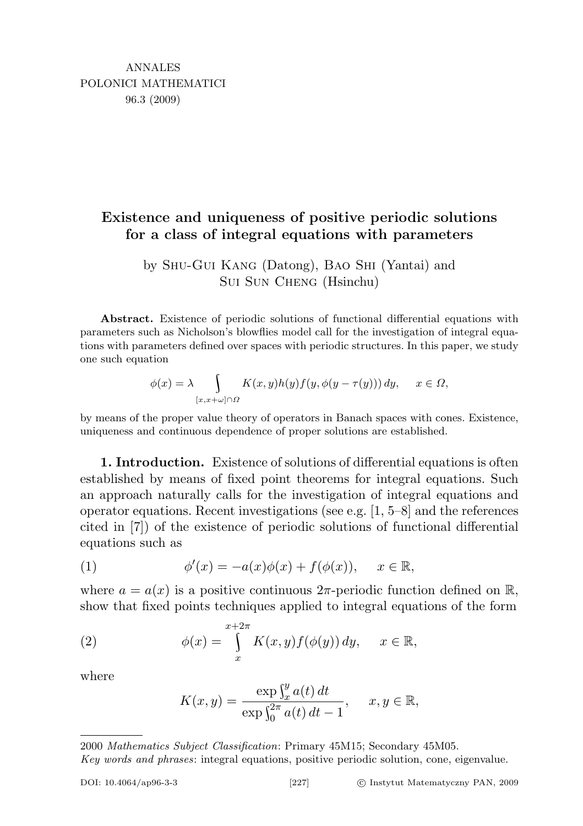## Existence and uniqueness of positive periodic solutions for a class of integral equations with parameters

by Shu-Gui Kang (Datong), Bao Shi (Yantai) and Sui Sun Cheng (Hsinchu)

Abstract. Existence of periodic solutions of functional differential equations with parameters such as Nicholson's blowflies model call for the investigation of integral equations with parameters defined over spaces with periodic structures. In this paper, we study one such equation

$$
\phi(x) = \lambda \int_{[x,x+\omega]\cap\Omega} K(x,y)h(y)f(y,\phi(y-\tau(y)))\,dy, \quad x \in \Omega,
$$

by means of the proper value theory of operators in Banach spaces with cones. Existence, uniqueness and continuous dependence of proper solutions are established.

1. Introduction. Existence of solutions of differential equations is often established by means of fixed point theorems for integral equations. Such an approach naturally calls for the investigation of integral equations and operator equations. Recent investigations (see e.g. [1, 5–8] and the references cited in [7]) of the existence of periodic solutions of functional differential equations such as

(1) 
$$
\phi'(x) = -a(x)\phi(x) + f(\phi(x)), \quad x \in \mathbb{R},
$$

where  $a = a(x)$  is a positive continuous  $2\pi$ -periodic function defined on  $\mathbb{R}$ , show that fixed points techniques applied to integral equations of the form

(2) 
$$
\phi(x) = \int_{x}^{x+2\pi} K(x, y) f(\phi(y)) dy, \quad x \in \mathbb{R},
$$

where

$$
K(x, y) = \frac{\exp \int_{x}^{y} a(t) dt}{\exp \int_{0}^{2\pi} a(t) dt - 1}, \quad x, y \in \mathbb{R},
$$

<sup>2000</sup> Mathematics Subject Classification: Primary 45M15; Secondary 45M05. Key words and phrases: integral equations, positive periodic solution, cone, eigenvalue.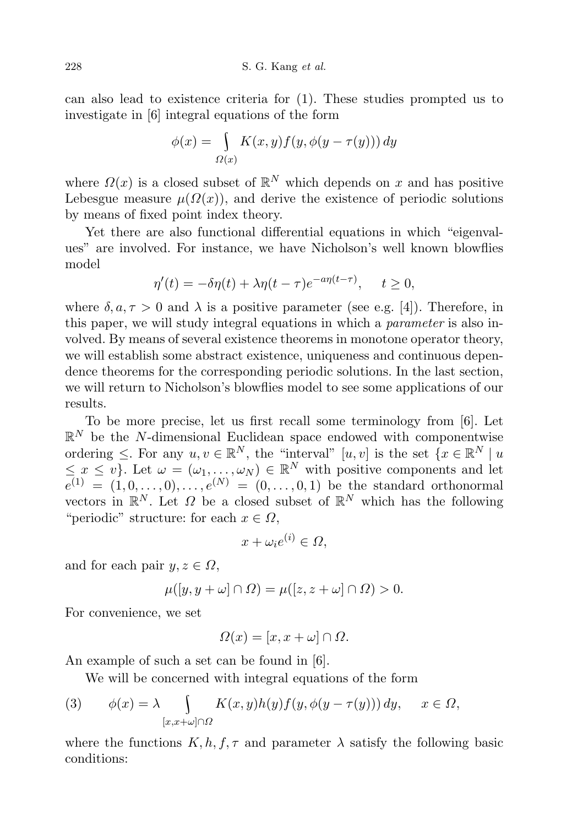can also lead to existence criteria for (1). These studies prompted us to investigate in [6] integral equations of the form

$$
\phi(x) = \int_{\Omega(x)} K(x, y) f(y, \phi(y - \tau(y))) dy
$$

where  $\Omega(x)$  is a closed subset of  $\mathbb{R}^N$  which depends on x and has positive Lebesgue measure  $\mu(\Omega(x))$ , and derive the existence of periodic solutions by means of fixed point index theory.

Yet there are also functional differential equations in which "eigenvalues" are involved. For instance, we have Nicholson's well known blowflies model

$$
\eta'(t) = -\delta \eta(t) + \lambda \eta(t - \tau) e^{-a \eta(t - \tau)}, \quad t \ge 0,
$$

where  $\delta, a, \tau > 0$  and  $\lambda$  is a positive parameter (see e.g. [4]). Therefore, in this paper, we will study integral equations in which a parameter is also involved. By means of several existence theorems in monotone operator theory, we will establish some abstract existence, uniqueness and continuous dependence theorems for the corresponding periodic solutions. In the last section, we will return to Nicholson's blowflies model to see some applications of our results.

To be more precise, let us first recall some terminology from [6]. Let  $\mathbb{R}^N$  be the N-dimensional Euclidean space endowed with componentwise ordering  $\leq$ . For any  $u, v \in \mathbb{R}^N$ , the "interval"  $[u, v]$  is the set  $\{x \in \mathbb{R}^N \mid u\}$  $\leq x \leq v$ . Let  $\omega = (\omega_1, \ldots, \omega_N) \in \mathbb{R}^N$  with positive components and let  $e^{(1)} = (1, 0, \ldots, 0), \ldots, e^{(N)} = (0, \ldots, 0, 1)$  be the standard orthonormal vectors in  $\mathbb{R}^N$ . Let  $\Omega$  be a closed subset of  $\mathbb{R}^N$  which has the following "periodic" structure: for each  $x \in \Omega$ ,

$$
x + \omega_i e^{(i)} \in \Omega,
$$

and for each pair  $y, z \in \Omega$ ,

$$
\mu([y, y + \omega] \cap \Omega) = \mu([z, z + \omega] \cap \Omega) > 0.
$$

For convenience, we set

$$
\Omega(x) = [x, x + \omega] \cap \Omega.
$$

An example of such a set can be found in [6].

We will be concerned with integral equations of the form

(3) 
$$
\phi(x) = \lambda \int_{[x,x+\omega]\cap\Omega} K(x,y)h(y)f(y,\phi(y-\tau(y))) dy, \quad x \in \Omega,
$$

where the functions  $K, h, f, \tau$  and parameter  $\lambda$  satisfy the following basic conditions: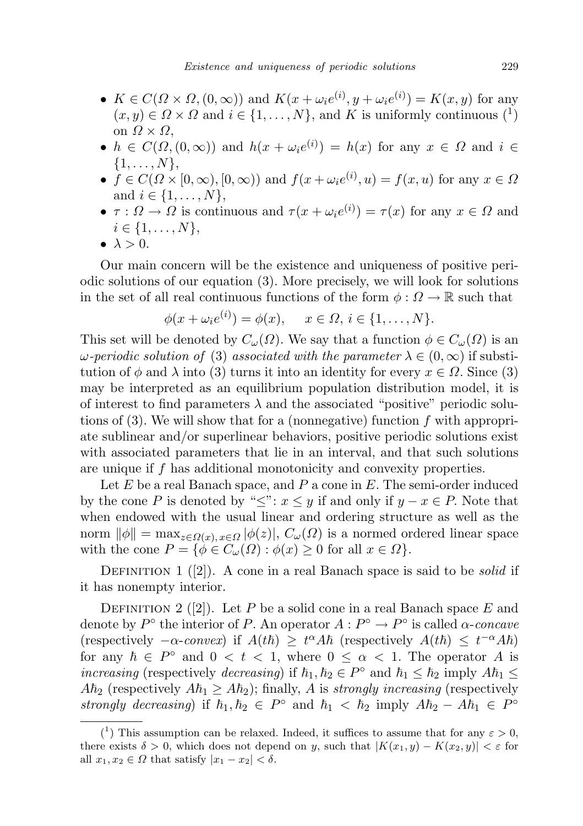- $K \in C(\Omega \times \Omega, (0, \infty))$  and  $K(x + \omega_i e^{(i)}, y + \omega_i e^{(i)}) = K(x, y)$  for any  $(x, y) \in \Omega \times \Omega$  and  $i \in \{1, ..., N\}$ , and K is uniformly continuous  $\binom{1}{k}$ on  $\Omega \times \Omega$ ,
- $h \in C(\Omega, (0, \infty))$  and  $h(x + \omega_i e^{(i)}) = h(x)$  for any  $x \in \Omega$  and  $i \in$  $\{1, \ldots, N\},\$
- $f \in C(\Omega \times [0, \infty), [0, \infty))$  and  $f(x + \omega_i e^{(i)}, u) = f(x, u)$  for any  $x \in \Omega$ and  $i \in \{1, ..., N\},\$
- $\tau : \Omega \to \Omega$  is continuous and  $\tau(x + \omega_i e^{(i)}) = \tau(x)$  for any  $x \in \Omega$  and  $i \in \{1, \ldots, N\},\$
- $\bullet \lambda > 0$ .

Our main concern will be the existence and uniqueness of positive periodic solutions of our equation (3). More precisely, we will look for solutions in the set of all real continuous functions of the form  $\phi : \Omega \to \mathbb{R}$  such that

$$
\phi(x + \omega_i e^{(i)}) = \phi(x), \quad x \in \Omega, i \in \{1, \dots, N\}.
$$

This set will be denoted by  $C_{\omega}(\Omega)$ . We say that a function  $\phi \in C_{\omega}(\Omega)$  is an  $\omega$ -periodic solution of (3) associated with the parameter  $\lambda \in (0,\infty)$  if substitution of  $\phi$  and  $\lambda$  into (3) turns it into an identity for every  $x \in \Omega$ . Since (3) may be interpreted as an equilibrium population distribution model, it is of interest to find parameters  $\lambda$  and the associated "positive" periodic solutions of  $(3)$ . We will show that for a (nonnegative) function f with appropriate sublinear and/or superlinear behaviors, positive periodic solutions exist with associated parameters that lie in an interval, and that such solutions are unique if f has additional monotonicity and convexity properties.

Let  $E$  be a real Banach space, and  $P$  a cone in  $E$ . The semi-order induced by the cone P is denoted by " $\leq$ ":  $x \leq y$  if and only if  $y - x \in P$ . Note that when endowed with the usual linear and ordering structure as well as the norm  $\|\phi\| = \max_{z \in \Omega(x), x \in \Omega} |\phi(z)|, C_{\omega}(\Omega)$  is a normed ordered linear space with the cone  $P = \{ \phi \in C_{\omega}(\Omega) : \phi(x) \geq 0 \text{ for all } x \in \Omega \}.$ 

DEFINITION 1  $(2)$ . A cone in a real Banach space is said to be *solid* if it has nonempty interior.

DEFINITION 2 ([2]). Let P be a solid cone in a real Banach space  $E$  and denote by  $P^{\circ}$  the interior of P. An operator  $A: P^{\circ} \to P^{\circ}$  is called  $\alpha$ -concave (respectively  $-\alpha$ -convex) if  $A(t\hbar) \geq t^{\alpha} A\hbar$  (respectively  $A(t\hbar) \leq t^{-\alpha} A\hbar$ ) for any  $\hbar \in P^{\circ}$  and  $0 < t < 1$ , where  $0 \leq \alpha < 1$ . The operator A is increasing (respectively decreasing) if  $\hbar_1, \hbar_2 \in P^{\circ}$  and  $\hbar_1 \leq \hbar_2$  imply  $A\hbar_1 \leq$  $A\hbar_2$  (respectively  $A\hbar_1 \geq A\hbar_2$ ); finally, A is strongly increasing (respectively strongly decreasing) if  $\hbar_1, \hbar_2 \in P^{\circ}$  and  $\hbar_1 < \hbar_2$  imply  $A\hbar_2 - A\hbar_1 \in P^{\circ}$ 

<sup>(&</sup>lt;sup>1</sup>) This assumption can be relaxed. Indeed, it suffices to assume that for any  $\varepsilon > 0$ , there exists  $\delta > 0$ , which does not depend on y, such that  $|K(x_1, y) - K(x_2, y)| < \varepsilon$  for all  $x_1, x_2 \in \Omega$  that satisfy  $|x_1 - x_2| < \delta$ .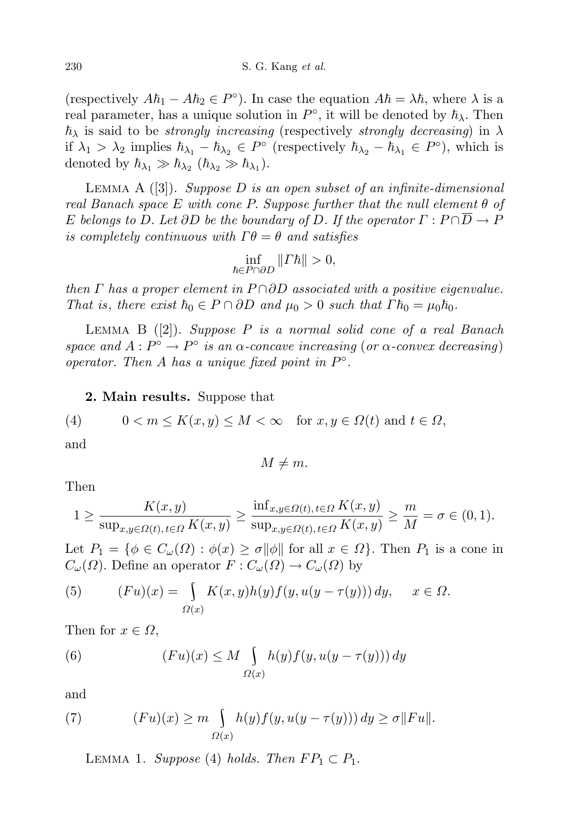(respectively  $A\hbar_1 - A\hbar_2 \in P^{\circ}$ ). In case the equation  $A\hbar = \lambda \hbar$ , where  $\lambda$  is a real parameter, has a unique solution in  $P^{\circ}$ , it will be denoted by  $\hbar_{\lambda}$ . Then  $\hbar_{\lambda}$  is said to be *strongly increasing* (respectively *strongly decreasing*) in  $\lambda$ if  $\lambda_1 > \lambda_2$  implies  $\hbar_{\lambda_1} - \hbar_{\lambda_2} \in P^{\circ}$  (respectively  $\hbar_{\lambda_2} - \hbar_{\lambda_1} \in P^{\circ}$ ), which is denoted by  $\hbar_{\lambda_1} \gg \hbar_{\lambda_2} (\hbar_{\lambda_2} \gg \hbar_{\lambda_1}).$ 

LEMMA A  $([3])$ . Suppose D is an open subset of an infinite-dimensional real Banach space E with cone P. Suppose further that the null element  $\theta$  of E belongs to D. Let  $\partial D$  be the boundary of D. If the operator  $\Gamma : P \cap \overline{D} \to P$ is completely continuous with  $\Gamma \theta = \theta$  and satisfies

$$
\inf_{\hbar\in P\cap \partial D} \| \varGamma \hbar \| >0,
$$

then  $\Gamma$  has a proper element in P $\cap$ ∂D associated with a positive eigenvalue. That is, there exist  $\hbar_0 \in P \cap \partial D$  and  $\mu_0 > 0$  such that  $\Gamma \hbar_0 = \mu_0 \hbar_0$ .

LEMMA B  $([2])$ . Suppose P is a normal solid cone of a real Banach space and  $A: P^{\circ} \to P^{\circ}$  is an  $\alpha$ -concave increasing (or  $\alpha$ -convex decreasing) operator. Then A has a unique fixed point in  $P^{\circ}$ .

2. Main results. Suppose that

(4) 
$$
0 < m \le K(x, y) \le M < \infty \quad \text{for } x, y \in \Omega(t) \text{ and } t \in \Omega,
$$

and

$$
M \neq m.
$$

Then

$$
1 \ge \frac{K(x,y)}{\sup_{x,y \in \Omega(t), t \in \Omega} K(x,y)} \ge \frac{\inf_{x,y \in \Omega(t), t \in \Omega} K(x,y)}{\sup_{x,y \in \Omega(t), t \in \Omega} K(x,y)} \ge \frac{m}{M} = \sigma \in (0,1).
$$

Let  $P_1 = \{\phi \in C_\omega(\Omega) : \phi(x) \ge \sigma ||\phi|| \text{ for all } x \in \Omega\}$ . Then  $P_1$  is a cone in  $C_{\omega}(\Omega)$ . Define an operator  $F: C_{\omega}(\Omega) \to C_{\omega}(\Omega)$  by

(5) 
$$
(Fu)(x) = \int_{\Omega(x)} K(x,y)h(y)f(y,u(y-\tau(y))) dy, \quad x \in \Omega.
$$

Then for  $x \in \Omega$ ,

(6) 
$$
(Fu)(x) \leq M \int_{\Omega(x)} h(y) f(y, u(y - \tau(y))) dy
$$

and

(7) 
$$
(Fu)(x) \ge m \int_{\Omega(x)} h(y) f(y, u(y - \tau(y))) dy \ge \sigma ||Fu||.
$$

LEMMA 1. Suppose (4) holds. Then  $FP_1 \subset P_1$ .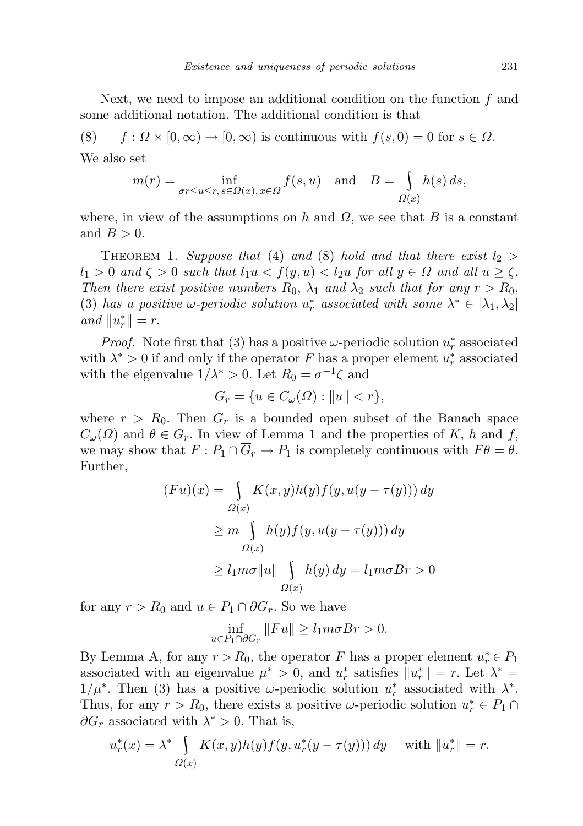Next, we need to impose an additional condition on the function  $f$  and some additional notation. The additional condition is that

(8)  $f : \Omega \times [0, \infty) \to [0, \infty)$  is continuous with  $f(s, 0) = 0$  for  $s \in \Omega$ . We also set

$$
m(r) = \inf_{\sigma r \le u \le r, s \in \Omega(x), x \in \Omega} f(s, u) \text{ and } B = \int_{\Omega(x)} h(s) ds,
$$

where, in view of the assumptions on h and  $\Omega$ , we see that B is a constant and  $B > 0$ .

THEOREM 1. Suppose that (4) and (8) hold and that there exist  $l_2 >$  $l_1 > 0$  and  $\zeta > 0$  such that  $l_1u < f(y, u) < l_2u$  for all  $y \in \Omega$  and all  $u \ge \zeta$ . Then there exist positive numbers  $R_0$ ,  $\lambda_1$  and  $\lambda_2$  such that for any  $r > R_0$ , (3) has a positive  $\omega$ -periodic solution  $u_r^*$  associated with some  $\lambda^* \in [\lambda_1, \lambda_2]$ and  $||u_r^*|| = r$ .

*Proof.* Note first that (3) has a positive  $\omega$ -periodic solution  $u_r^*$  associated with  $\lambda^* > 0$  if and only if the operator F has a proper element  $u_r^*$  associated with the eigenvalue  $1/\lambda^* > 0$ . Let  $R_0 = \sigma^{-1}\zeta$  and

$$
G_r = \{ u \in C_\omega(\Omega) : ||u|| < r \},
$$

where  $r > R_0$ . Then  $G_r$  is a bounded open subset of the Banach space  $C_{\omega}(\Omega)$  and  $\theta \in G_r$ . In view of Lemma 1 and the properties of K, h and f, we may show that  $F: P_1 \cap \overline{G}_r \to P_1$  is completely continuous with  $F\theta = \theta$ . Further,

$$
(Fu)(x) = \int_{\Omega(x)} K(x, y)h(y)f(y, u(y - \tau(y))) dy
$$

$$
\geq m \int_{\Omega(x)} h(y)f(y, u(y - \tau(y))) dy
$$

$$
\geq l_1 m \sigma ||u|| \int_{\Omega(x)} h(y) dy = l_1 m \sigma Br > 0
$$

for any  $r > R_0$  and  $u \in P_1 \cap \partial G_r$ . So we have

$$
\inf_{u \in P_1 \cap \partial G_r} ||Fu|| \ge l_1 m \sigma Br > 0.
$$

By Lemma A, for any  $r > R_0$ , the operator F has a proper element  $u_r^* \in P_1$ associated with an eigenvalue  $\mu^* > 0$ , and  $u_r^*$  satisfies  $||u_r^*|| = r$ . Let  $\lambda^* =$  $1/\mu^*$ . Then (3) has a positive  $\omega$ -periodic solution  $u_r^*$  associated with  $\lambda^*$ . Thus, for any  $r > R_0$ , there exists a positive  $\omega$ -periodic solution  $u_r^* \in P_1 \cap$  $\partial G_r$  associated with  $\lambda^* > 0$ . That is,

$$
u_r^*(x) = \lambda^* \int_{\Omega(x)} K(x, y) h(y) f(y, u_r^*(y - \tau(y))) dy \quad \text{with } \|u_r^*\| = r.
$$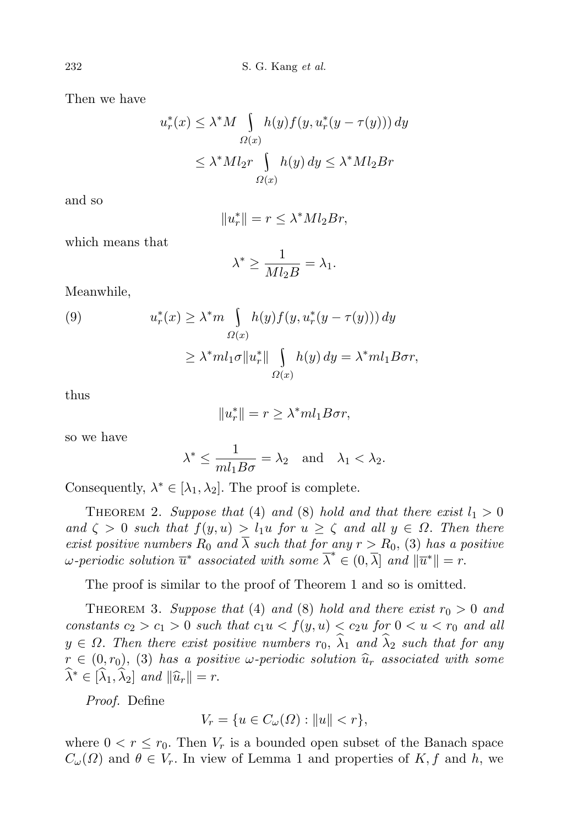Then we have

$$
u_r^*(x) \le \lambda^* M \int_{\Omega(x)} h(y) f(y, u_r^*(y - \tau(y))) dy
$$
  

$$
\le \lambda^* M l_2 r \int_{\Omega(x)} h(y) dy \le \lambda^* M l_2 B r
$$

and so

$$
||u_r^*|| = r \le \lambda^* M l_2 Br,
$$

which means that

$$
\lambda^* \ge \frac{1}{Ml_2B} = \lambda_1.
$$

Meanwhile,

(9) 
$$
u_r^*(x) \geq \lambda^* m \int_{\Omega(x)} h(y) f(y, u_r^*(y - \tau(y))) dy
$$

$$
\geq \lambda^* m l_1 \sigma ||u_r^*|| \int_{\Omega(x)} h(y) dy = \lambda^* m l_1 B \sigma r,
$$

thus

$$
||u_r^*|| = r \ge \lambda^* m l_1 B \sigma r,
$$

so we have

$$
\lambda^* \le \frac{1}{m l_1 B \sigma} = \lambda_2 \quad \text{and} \quad \lambda_1 < \lambda_2.
$$

Consequently,  $\lambda^* \in [\lambda_1, \lambda_2]$ . The proof is complete.

THEOREM 2. Suppose that (4) and (8) hold and that there exist  $l_1 > 0$ and  $\zeta > 0$  such that  $f(y, u) > l_1u$  for  $u \ge \zeta$  and all  $y \in \Omega$ . Then there exist positive numbers  $R_0$  and  $\overline{\lambda}$  such that for any  $r > R_0$ , (3) has a positive  $\omega$ -periodic solution  $\overline{u}^*$  associated with some  $\overline{\lambda}^* \in (0, \overline{\lambda}]$  and  $\|\overline{u}^*\| = r$ .

The proof is similar to the proof of Theorem 1 and so is omitted.

THEOREM 3. Suppose that (4) and (8) hold and there exist  $r_0 > 0$  and constants  $c_2 > c_1 > 0$  such that  $c_1u < f(y, u) < c_2u$  for  $0 < u < r_0$  and all  $y \in \Omega$ . Then there exist positive numbers  $r_0$ ,  $\widehat{\lambda}_1$  and  $\widehat{\lambda}_2$  such that for any  $r \in (0, r_0), (3)$  has a positive  $\omega$ -periodic solution  $\hat{u}_r$  associated with some  $\widehat{\lambda}^* \in [\widehat{\lambda}_1, \widehat{\lambda}_2]$  and  $\|\widehat{u}_r\| = r$ .

Proof. Define

$$
V_r = \{ u \in C_\omega(\Omega) : ||u|| < r \},\
$$

where  $0 < r \le r_0$ . Then  $V_r$  is a bounded open subset of the Banach space  $C_{\omega}(\Omega)$  and  $\theta \in V_r$ . In view of Lemma 1 and properties of K, f and h, we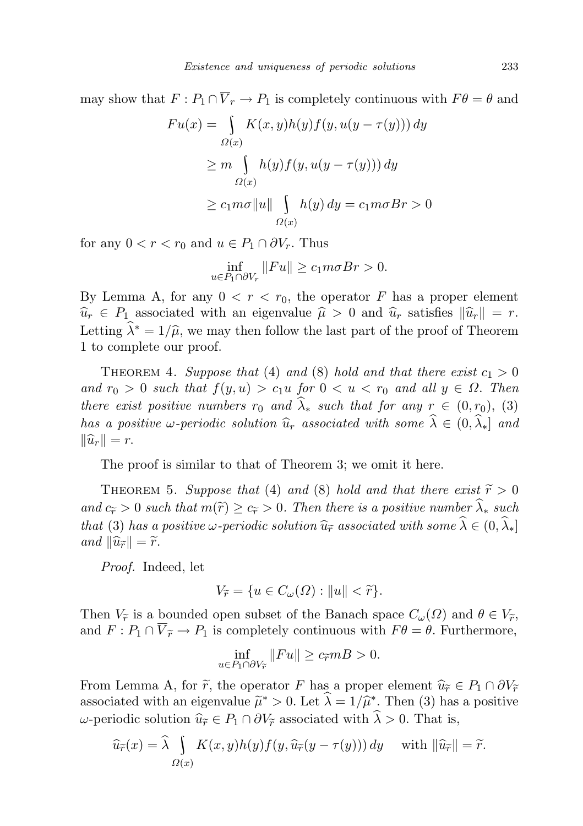may show that  $F: P_1 \cap \overline{V}_r \to P_1$  is completely continuous with  $F\theta = \theta$  and

$$
Fu(x) = \int_{\Omega(x)} K(x, y)h(y) f(y, u(y - \tau(y))) dy
$$
  
\n
$$
\ge m \int_{\Omega(x)} h(y) f(y, u(y - \tau(y))) dy
$$
  
\n
$$
\ge c_1 m \sigma ||u|| \int_{\Omega(x)} h(y) dy = c_1 m \sigma Br > 0
$$

for any  $0 < r < r_0$  and  $u \in P_1 \cap \partial V_r$ . Thus

$$
\inf_{u \in P_1 \cap \partial V_r} ||Fu|| \ge c_1 m \sigma Br > 0.
$$

By Lemma A, for any  $0 < r < r_0$ , the operator F has a proper element  $\widehat{u}_r \in P_1$  associated with an eigenvalue  $\widehat{\mu} > 0$  and  $\widehat{u}_r$  satisfies  $\|\widehat{u}_r\| = r$ . Letting  $\hat{\lambda}^* = 1/\hat{\mu}$ , we may then follow the last part of the proof of Theorem 1 to complete our proof.

THEOREM 4. Suppose that (4) and (8) hold and that there exist  $c_1 > 0$ and  $r_0 > 0$  such that  $f(y, u) > c_1u$  for  $0 < u < r_0$  and all  $y \in \Omega$ . Then there exist positive numbers  $r_0$  and  $\widehat{\lambda}_*$  such that for any  $r \in (0, r_0), (3)$ has a positive  $\omega$ -periodic solution  $\widehat{u}_r$  associated with some  $\widehat{\lambda} \in (0, \widehat{\lambda}_*]$  and  $\|\widehat{u}_r\| = r.$ 

The proof is similar to that of Theorem 3; we omit it here.

THEOREM 5. Suppose that (4) and (8) hold and that there exist  $\widetilde{r} > 0$ and  $c_{\widetilde{r}} > 0$  such that  $m(\widetilde{r}) \geq c_{\widetilde{r}} > 0$ . Then there is a positive number  $\widehat{\lambda}_*$  such that (3) has a positive  $\omega$ -periodic solution  $\widehat{u}_{\widetilde{r}}$  associated with some  $\widehat{\lambda} \in (0, \widehat{\lambda}_*]$ and  $\|\widehat{u}_{\widetilde{r}}\| = \widetilde{r}.$ 

Proof. Indeed, let

$$
V_{\widetilde{r}} = \{ u \in C_{\omega}(\Omega) : ||u|| < \widetilde{r} \}.
$$

Then  $V_{\tilde{r}}$  is a bounded open subset of the Banach space  $C_{\omega}(\Omega)$  and  $\theta \in V_{\tilde{r}}$ , and  $F: P_1 \cap \overline{V}_{\widetilde{r}} \to P_1$  is completely continuous with  $F\theta = \theta$ . Furthermore,

$$
\inf_{u \in P_1 \cap \partial V_{\widetilde{r}}} \|Fu\| \ge c_{\widetilde{r}} mB > 0.
$$

From Lemma A, for  $\tilde{r}$ , the operator F has a proper element  $\hat{u}_{\tilde{r}} \in P_1 \cap \partial V_{\tilde{r}}$ associated with an eigenvalue  $\tilde{\mu}^* > 0$ . Let  $\hat{\lambda} = 1/\hat{\mu}^*$ . Then (3) has a positive ω-periodic solution  $\hat{u}_{\tilde{r}}$  ∈  $P_1 ∩ ∂V_{\tilde{r}}$  associated with  $\hat{λ} > 0$ . That is,

$$
\widehat{u}_{\widetilde{r}}(x) = \widehat{\lambda} \int_{\Omega(x)} K(x, y) h(y) f(y, \widehat{u}_{\widetilde{r}}(y - \tau(y))) dy \quad \text{ with } \|\widehat{u}_{\widetilde{r}}\| = \widetilde{r}.
$$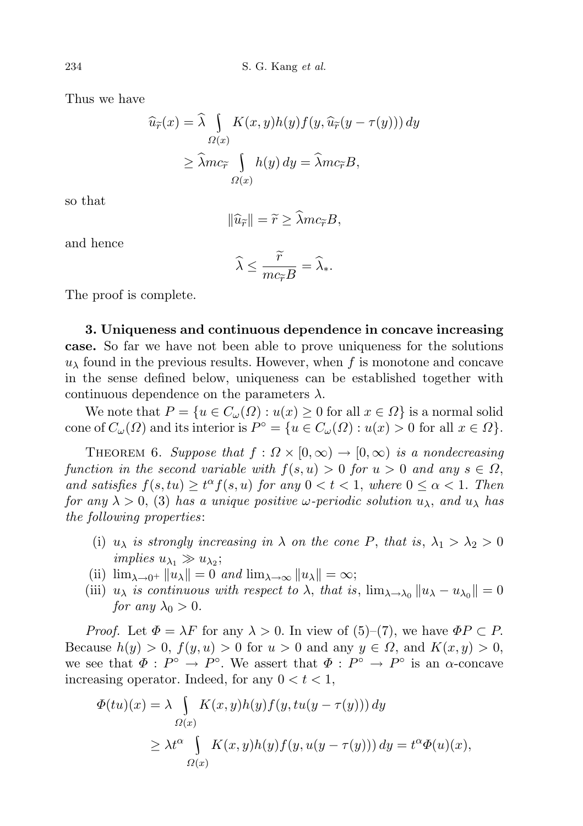Thus we have

$$
\widehat{u}_{\widetilde{r}}(x) = \widehat{\lambda} \int_{\Omega(x)} K(x, y) h(y) f(y, \widehat{u}_{\widetilde{r}}(y - \tau(y))) dy
$$

$$
\geq \widehat{\lambda} m c_{\widetilde{r}} \int_{\Omega(x)} h(y) dy = \widehat{\lambda} m c_{\widetilde{r}} B,
$$

so that

$$
\|\widehat{u}_{\widetilde{r}}\| = \widetilde{r} \ge \widehat{\lambda}mc_{\widetilde{r}}B,
$$

and hence

$$
\widehat{\lambda} \le \frac{\widetilde{r}}{mc_{\widetilde{r}}B} = \widehat{\lambda}_*.
$$

The proof is complete.

3. Uniqueness and continuous dependence in concave increasing case. So far we have not been able to prove uniqueness for the solutions  $u_{\lambda}$  found in the previous results. However, when f is monotone and concave in the sense defined below, uniqueness can be established together with continuous dependence on the parameters  $\lambda$ .

We note that  $P = \{u \in C_\omega(\Omega) : u(x) \geq 0 \text{ for all } x \in \Omega\}$  is a normal solid cone of  $C_{\omega}(\Omega)$  and its interior is  $P^{\circ} = \{u \in C_{\omega}(\Omega) : u(x) > 0 \text{ for all } x \in \Omega\}.$ 

THEOREM 6. Suppose that  $f : \Omega \times [0, \infty) \to [0, \infty)$  is a nondecreasing function in the second variable with  $f(s, u) > 0$  for  $u > 0$  and any  $s \in \Omega$ , and satisfies  $f(s, tu) \ge t^{\alpha} f(s, u)$  for any  $0 < t < 1$ , where  $0 \le \alpha < 1$ . Then for any  $\lambda > 0$ , (3) has a unique positive  $\omega$ -periodic solution  $u_{\lambda}$ , and  $u_{\lambda}$  has the following properties:

- (i)  $u_{\lambda}$  is strongly increasing in  $\lambda$  on the cone P, that is,  $\lambda_1 > \lambda_2 > 0$ implies  $u_{\lambda_1} \gg u_{\lambda_2}$ ;
- (ii)  $\lim_{\lambda \to 0^+} ||u_\lambda|| = 0$  and  $\lim_{\lambda \to \infty} ||u_\lambda|| = \infty;$
- (iii)  $u_{\lambda}$  is continuous with respect to  $\lambda$ , that is,  $\lim_{\lambda \to \lambda_0} ||u_{\lambda} u_{\lambda_0}|| = 0$ for any  $\lambda_0 > 0$ .

*Proof.* Let  $\Phi = \lambda F$  for any  $\lambda > 0$ . In view of (5)–(7), we have  $\Phi P \subset P$ . Because  $h(y) > 0$ ,  $f(y, u) > 0$  for  $u > 0$  and any  $y \in \Omega$ , and  $K(x, y) > 0$ , we see that  $\Phi: P^{\circ} \to P^{\circ}$ . We assert that  $\Phi: P^{\circ} \to P^{\circ}$  is an  $\alpha$ -concave increasing operator. Indeed, for any  $0 < t < 1$ ,

$$
\Phi(tu)(x) = \lambda \int_{\Omega(x)} K(x, y)h(y)f(y, tu(y - \tau(y))) dy
$$
  
\n
$$
\geq \lambda t^{\alpha} \int_{\Omega(x)} K(x, y)h(y)f(y, u(y - \tau(y))) dy = t^{\alpha}\Phi(u)(x),
$$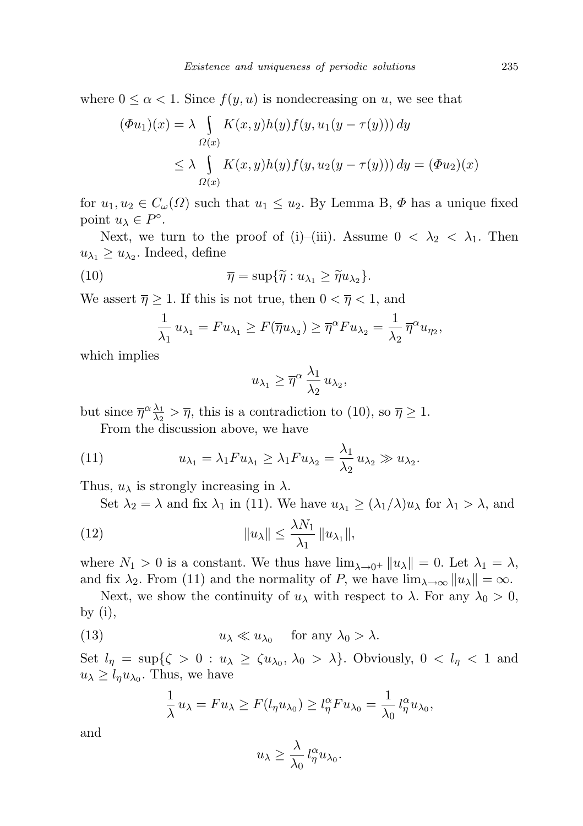where  $0 \leq \alpha < 1$ . Since  $f(y, u)$  is nondecreasing on u, we see that

$$
(\Phi u_1)(x) = \lambda \int_{\Omega(x)} K(x, y)h(y)f(y, u_1(y - \tau(y))) dy
$$
  
\n
$$
\leq \lambda \int_{\Omega(x)} K(x, y)h(y)f(y, u_2(y - \tau(y))) dy = (\Phi u_2)(x)
$$

for  $u_1, u_2 \in C_{\omega}(\Omega)$  such that  $u_1 \leq u_2$ . By Lemma B,  $\Phi$  has a unique fixed point  $u_{\lambda} \in P^{\circ}$ .

Next, we turn to the proof of (i)–(iii). Assume  $0 < \lambda_2 < \lambda_1$ . Then  $u_{\lambda_1} \geq u_{\lambda_2}$ . Indeed, define

(10) 
$$
\overline{\eta} = \sup \{ \widetilde{\eta} : u_{\lambda_1} \geq \widetilde{\eta} u_{\lambda_2} \}.
$$

We assert  $\overline{\eta} \geq 1$ . If this is not true, then  $0 < \overline{\eta} < 1$ , and

$$
\frac{1}{\lambda_1} u_{\lambda_1} = F u_{\lambda_1} \geq F(\overline{\eta} u_{\lambda_2}) \geq \overline{\eta}^{\alpha} F u_{\lambda_2} = \frac{1}{\lambda_2} \overline{\eta}^{\alpha} u_{\eta_2},
$$

which implies

$$
u_{\lambda_1} \geq \overline{\eta}^{\alpha} \frac{\lambda_1}{\lambda_2} u_{\lambda_2},
$$

but since  $\overline{\eta}^{\alpha} \frac{\lambda_1}{\lambda_2}$  $\frac{\lambda_1}{\lambda_2} > \overline{\eta}$ , this is a contradiction to (10), so  $\overline{\eta} \ge 1$ .

From the discussion above, we have

(11) 
$$
u_{\lambda_1} = \lambda_1 F u_{\lambda_1} \ge \lambda_1 F u_{\lambda_2} = \frac{\lambda_1}{\lambda_2} u_{\lambda_2} \gg u_{\lambda_2}.
$$

Thus,  $u_{\lambda}$  is strongly increasing in  $\lambda$ .

Set  $\lambda_2 = \lambda$  and fix  $\lambda_1$  in (11). We have  $u_{\lambda_1} \geq (\lambda_1/\lambda)u_{\lambda}$  for  $\lambda_1 > \lambda$ , and

(12) 
$$
\|u_{\lambda}\| \leq \frac{\lambda N_1}{\lambda_1} \|u_{\lambda_1}\|,
$$

where  $N_1 > 0$  is a constant. We thus have  $\lim_{\lambda \to 0^+} ||u_\lambda|| = 0$ . Let  $\lambda_1 = \lambda$ , and fix  $\lambda_2$ . From (11) and the normality of P, we have  $\lim_{\lambda\to\infty} ||u_\lambda|| = \infty$ .

Next, we show the continuity of  $u_\lambda$  with respect to  $\lambda$ . For any  $\lambda_0 > 0$ , by  $(i)$ ,

(13) 
$$
u_{\lambda} \ll u_{\lambda_0}
$$
 for any  $\lambda_0 > \lambda$ .

Set  $l_{\eta} = \sup\{\zeta > 0 : u_{\lambda} \ge \zeta u_{\lambda_0}, \lambda_0 > \lambda\}$ . Obviously,  $0 < l_{\eta} < 1$  and  $u_{\lambda} \geq l_{\eta} u_{\lambda_0}$ . Thus, we have

$$
\frac{1}{\lambda} u_{\lambda} = F u_{\lambda} \ge F(l_{\eta} u_{\lambda_0}) \ge l_{\eta}^{\alpha} F u_{\lambda_0} = \frac{1}{\lambda_0} l_{\eta}^{\alpha} u_{\lambda_0},
$$

and

$$
u_{\lambda}\geq \frac{\lambda}{\lambda_0}\,l^{\alpha}_{\eta}u_{\lambda_0}.
$$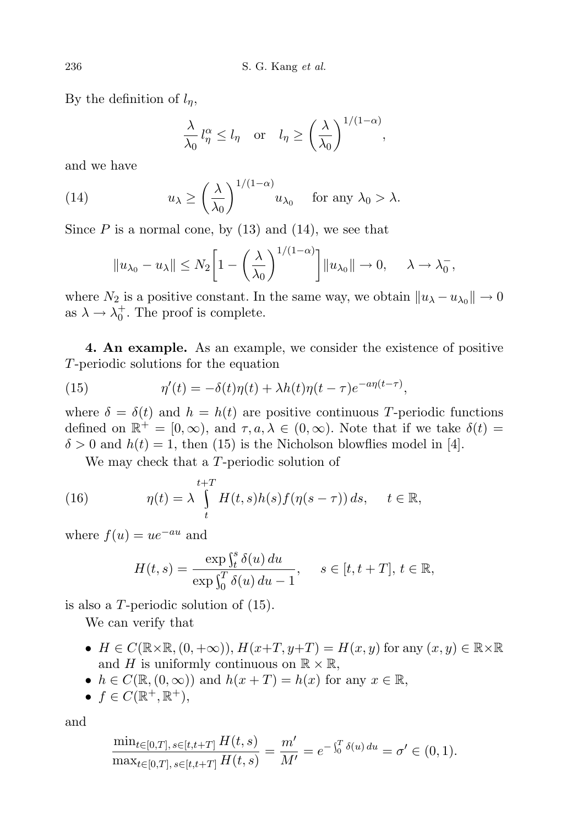By the definition of  $l_n$ ,

$$
\frac{\lambda}{\lambda_0} l_\eta^\alpha \le l_\eta \quad \text{or} \quad l_\eta \ge \left(\frac{\lambda}{\lambda_0}\right)^{1/(1-\alpha)},
$$

and we have

(14) 
$$
u_{\lambda} \ge \left(\frac{\lambda}{\lambda_0}\right)^{1/(1-\alpha)} u_{\lambda_0} \quad \text{for any } \lambda_0 > \lambda.
$$

Since  $P$  is a normal cone, by  $(13)$  and  $(14)$ , we see that

$$
||u_{\lambda_0}-u_{\lambda}|| \leq N_2 \bigg[1-\bigg(\frac{\lambda}{\lambda_0}\bigg)^{1/(1-\alpha)}\bigg]||u_{\lambda_0}|| \to 0, \quad \lambda \to \lambda_0^-,
$$

where  $N_2$  is a positive constant. In the same way, we obtain  $||u_\lambda - u_{\lambda_0}|| \to 0$ as  $\lambda \to \lambda_0^+$ . The proof is complete.

4. An example. As an example, we consider the existence of positive T-periodic solutions for the equation

(15) 
$$
\eta'(t) = -\delta(t)\eta(t) + \lambda h(t)\eta(t-\tau)e^{-a\eta(t-\tau)},
$$

where  $\delta = \delta(t)$  and  $h = h(t)$  are positive continuous T-periodic functions defined on  $\mathbb{R}^+ = [0, \infty)$ , and  $\tau, a, \lambda \in (0, \infty)$ . Note that if we take  $\delta(t) =$  $\delta > 0$  and  $h(t) = 1$ , then (15) is the Nicholson blowflies model in [4].

We may check that a T-periodic solution of

(16) 
$$
\eta(t) = \lambda \int_{t}^{t+T} H(t,s)h(s)f(\eta(s-\tau)) ds, \quad t \in \mathbb{R},
$$

where  $f(u) = ue^{-au}$  and

$$
H(t,s) = \frac{\exp \int_t^s \delta(u) du}{\exp \int_0^T \delta(u) du - 1}, \quad s \in [t, t + T], t \in \mathbb{R},
$$

is also a T-periodic solution of (15).

We can verify that

- $H \in C(\mathbb{R} \times \mathbb{R}, (0, +\infty)), H(x+T, y+T) = H(x, y)$  for any  $(x, y) \in \mathbb{R} \times \mathbb{R}$ and H is uniformly continuous on  $\mathbb{R} \times \mathbb{R}$ ,
- $h \in C(\mathbb{R}, (0, \infty))$  and  $h(x+T) = h(x)$  for any  $x \in \mathbb{R}$ ,
- $f \in C(\mathbb{R}^+, \mathbb{R}^+),$

and

$$
\frac{\min_{t\in[0,T],\,s\in[t,t+T]}H(t,s)}{\max_{t\in[0,T],\,s\in[t,t+T]}H(t,s)}=\frac{m'}{M'}=e^{-\int_0^T \delta(u)\,du}=\sigma'\in(0,1).
$$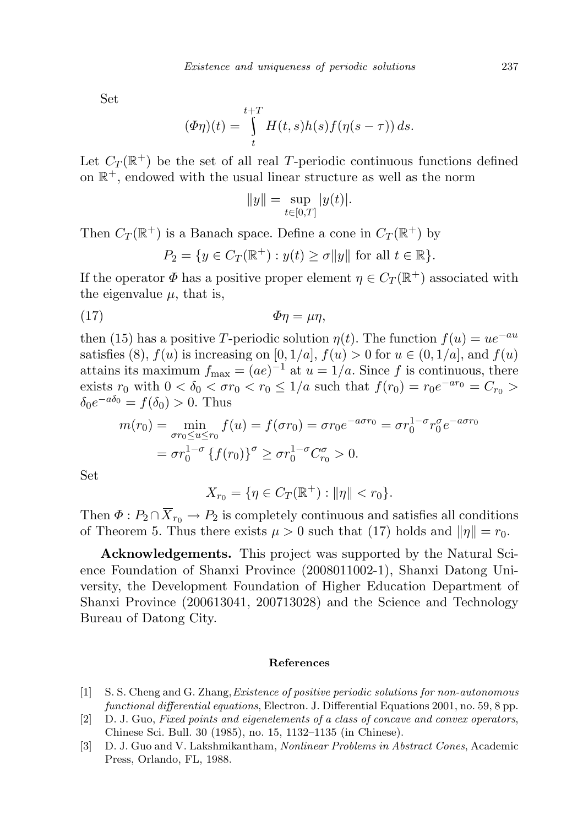Set

$$
(\Phi \eta)(t) = \int_{t}^{t+T} H(t,s)h(s)f(\eta(s-\tau)) ds.
$$

Let  $C_T(\mathbb{R}^+)$  be the set of all real T-periodic continuous functions defined on  $\mathbb{R}^+$ , endowed with the usual linear structure as well as the norm

$$
||y|| = \sup_{t \in [0,T]} |y(t)|.
$$

Then  $C_T(\mathbb{R}^+)$  is a Banach space. Define a cone in  $C_T(\mathbb{R}^+)$  by

$$
P_2 = \{ y \in C_T(\mathbb{R}^+) : y(t) \ge \sigma ||y|| \text{ for all } t \in \mathbb{R} \}.
$$

If the operator  $\Phi$  has a positive proper element  $\eta \in C_T(\mathbb{R}^+)$  associated with the eigenvalue  $\mu$ , that is,

$$
\Phi \eta = \mu \eta,
$$

then (15) has a positive T-periodic solution  $\eta(t)$ . The function  $f(u) = ue^{-au}$ satisfies (8),  $f(u)$  is increasing on [0, 1/a],  $f(u) > 0$  for  $u \in (0, 1/a]$ , and  $f(u)$ attains its maximum  $f_{\text{max}} = (ae)^{-1}$  at  $u = 1/a$ . Since f is continuous, there exists  $r_0$  with  $0 < \delta_0 < \sigma r_0 < r_0 \leq 1/a$  such that  $f(r_0) = r_0 e^{-ar_0} = C_{r_0} >$  $\delta_0 e^{-a\delta_0} = f(\delta_0) > 0$ . Thus

$$
m(r_0) = \min_{\sigma r_0 \le u \le r_0} f(u) = f(\sigma r_0) = \sigma r_0 e^{-a\sigma r_0} = \sigma r_0^{1-\sigma} r_0^{\sigma} e^{-a\sigma r_0}
$$

$$
= \sigma r_0^{1-\sigma} \{f(r_0)\}^{\sigma} \ge \sigma r_0^{1-\sigma} C_{r_0}^{\sigma} > 0.
$$

Set

$$
X_{r_0} = \{ \eta \in C_T(\mathbb{R}^+) : ||\eta|| < r_0 \}.
$$

Then  $\Phi: P_2 \cap \overline{X}_{r_0} \to P_2$  is completely continuous and satisfies all conditions of Theorem 5. Thus there exists  $\mu > 0$  such that (17) holds and  $\|\eta\| = r_0$ .

Acknowledgements. This project was supported by the Natural Science Foundation of Shanxi Province (2008011002-1), Shanxi Datong University, the Development Foundation of Higher Education Department of Shanxi Province (200613041, 200713028) and the Science and Technology Bureau of Datong City.

## References

- [1] S. S. Cheng and G. Zhang,Existence of positive periodic solutions for non-autonomous functional differential equations, Electron. J. Differential Equations 2001, no. 59, 8 pp.
- [2] D. J. Guo, Fixed points and eigenelements of a class of concave and convex operators, Chinese Sci. Bull. 30 (1985), no. 15, 1132–1135 (in Chinese).
- [3] D. J. Guo and V. Lakshmikantham, Nonlinear Problems in Abstract Cones, Academic Press, Orlando, FL, 1988.